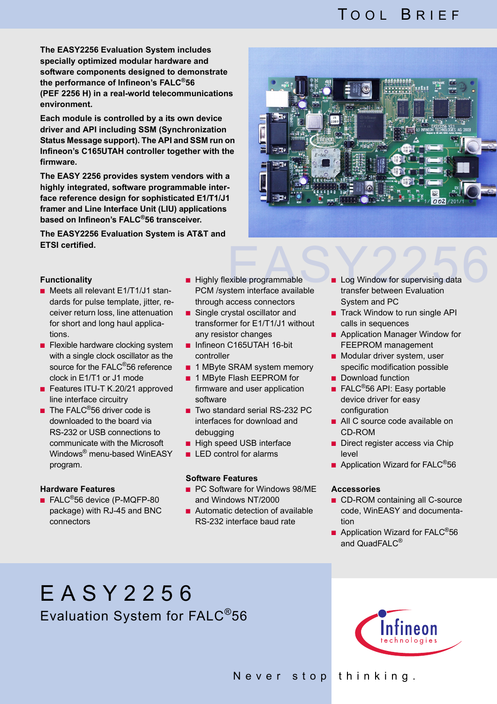## TOOL BRIEF

**The EASY2256 Evaluation System includes specially optimized modular hardware and software components designed to demonstrate the performance of Infineon's FALC®56 (PEF 2256 H) in a real-world telecommunications environment.**

**Each module is controlled by a its own device driver and API including SSM (Synchronization Status Message support). The API and SSM run on Infineon's C165UTAH controller together with the firmware.**

**The EASY 2256 provides system vendors with a highly integrated, software programmable interface reference design for sophisticated E1/T1/J1 framer and Line Interface Unit (LIU) applications based on Infineon's FALC®56 transceiver.**

**The EASY2256 Evaluation System is AT&T and ETSI certified.**



### **Functionality**

- Meets all relevant E1/T1/J1 standards for pulse template, jitter, receiver return loss, line attenuation for short and long haul applications.
- Flexible hardware clocking system with a single clock oscillator as the source for the FALC<sup>®</sup>56 reference clock in E1/T1 or J1 mode
- Features ITU-T K.20/21 approved line interface circuitry
- **The FALC<sup>®</sup>56 driver code is** downloaded to the board via RS-232 or USB connections to communicate with the Microsoft Windows® menu-based WinEASY program.

## **Hardware Features**

■ FALC<sup>®</sup>56 device (P-MQFP-80 package) with RJ-45 and BNC connectors

- Highly flexible programmable PCM /system interface available through access connectors
- Single crystal oscillator and transformer for E1/T1/J1 without any resistor changes
- Infineon C165UTAH 16-bit controller
- 1 MByte SRAM system memory
- 1 MByte Flash EEPROM for firmware and user application software
- Two standard serial RS-232 PC interfaces for download and debugging
- High speed USB interface
- LED control for alarms

#### **Software Features**

- PC Software for Windows 98/ME and Windows NT/2000
- Automatic detection of available RS-232 interface baud rate
- Exible programmable<br>
Exibe programmable<br>
Exam interface available<br>
Example transfer between Evaluation ■ Log Window for supervising data transfer between Evaluation System and PC
	- Track Window to run single API calls in sequences
	- Application Manager Window for FEEPROM management
	- Modular driver system, user specific modification possible
	- Download function
	- FALC<sup>®</sup>56 API: Easy portable device driver for easy configuration
	- All C source code available on CD-ROM
	- Direct register access via Chip level
	- Application Wizard for FALC<sup>®</sup>56

### **Accessories**

- CD-ROM containing all C-source code, WinEASY and documentation
- Application Wizard for FALC<sup>®</sup>56 and QuadFALC<sup>®</sup>

# EASY2256 Evaluation System for FALC®56